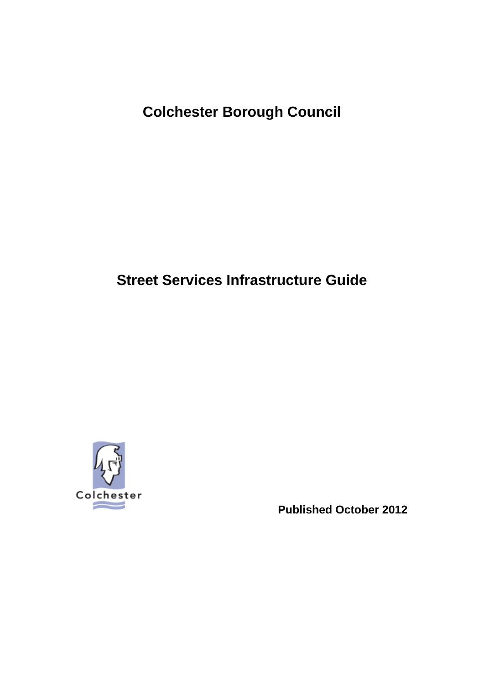**Colchester Borough Council** 

# **Street Services Infrastructure Guide**



 **Published October 2012**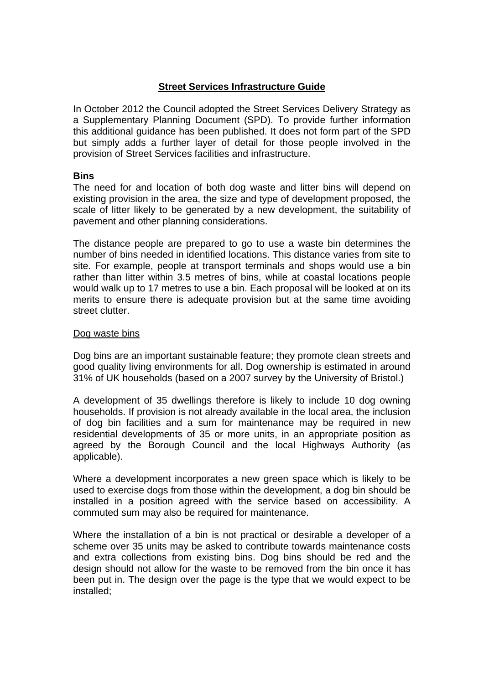## **Street Services Infrastructure Guide**

In October 2012 the Council adopted the Street Services Delivery Strategy as a Supplementary Planning Document (SPD). To provide further information this additional guidance has been published. It does not form part of the SPD but simply adds a further layer of detail for those people involved in the provision of Street Services facilities and infrastructure.

## **Bins**

The need for and location of both dog waste and litter bins will depend on existing provision in the area, the size and type of development proposed, the scale of litter likely to be generated by a new development, the suitability of pavement and other planning considerations.

The distance people are prepared to go to use a waste bin determines the number of bins needed in identified locations. This distance varies from site to site. For example, people at transport terminals and shops would use a bin rather than litter within 3.5 metres of bins, while at coastal locations people would walk up to 17 metres to use a bin. Each proposal will be looked at on its merits to ensure there is adequate provision but at the same time avoiding street clutter.

## Dog waste bins

Dog bins are an important sustainable feature; they promote clean streets and good quality living environments for all. Dog ownership is estimated in around 31% of UK households (based on a 2007 survey by the University of Bristol.)

A development of 35 dwellings therefore is likely to include 10 dog owning households. If provision is not already available in the local area, the inclusion of dog bin facilities and a sum for maintenance may be required in new residential developments of 35 or more units, in an appropriate position as agreed by the Borough Council and the local Highways Authority (as applicable).

Where a development incorporates a new green space which is likely to be used to exercise dogs from those within the development, a dog bin should be installed in a position agreed with the service based on accessibility. A commuted sum may also be required for maintenance.

Where the installation of a bin is not practical or desirable a developer of a scheme over 35 units may be asked to contribute towards maintenance costs and extra collections from existing bins. Dog bins should be red and the design should not allow for the waste to be removed from the bin once it has been put in. The design over the page is the type that we would expect to be installed;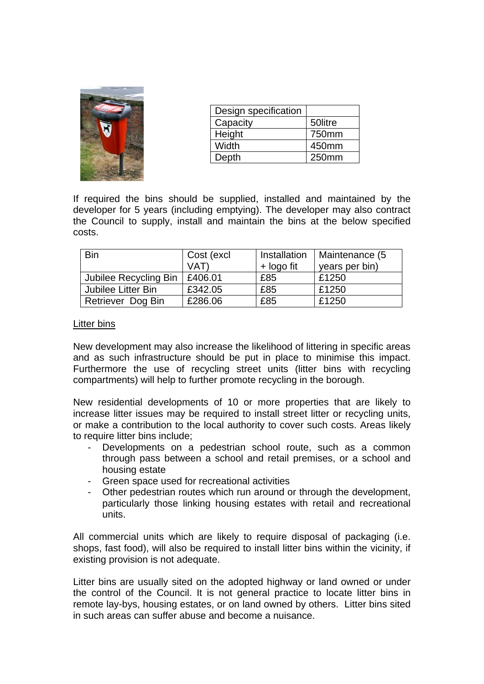

| Design specification |         |
|----------------------|---------|
| Capacity             | 50litre |
| Height               | 750mm   |
| Width                | 450mm   |
| Depth                | 250mm   |

If required the bins should be supplied, installed and maintained by the developer for 5 years (including emptying). The developer may also contract the Council to supply, install and maintain the bins at the below specified costs.

| <b>Bin</b>            | Cost (excl | Installation | Maintenance (5 |
|-----------------------|------------|--------------|----------------|
|                       | VAT)       | + logo fit   | years per bin) |
| Jubilee Recycling Bin | £406.01    | £85          | £1250          |
| Jubilee Litter Bin    | £342.05    | £85          | £1250          |
| Retriever Dog Bin     | £286.06    | £85          | £1250          |

#### Litter bins

New development may also increase the likelihood of littering in specific areas and as such infrastructure should be put in place to minimise this impact. Furthermore the use of recycling street units (litter bins with recycling compartments) will help to further promote recycling in the borough.

New residential developments of 10 or more properties that are likely to increase litter issues may be required to install street litter or recycling units, or make a contribution to the local authority to cover such costs. Areas likely to require litter bins include;

- Developments on a pedestrian school route, such as a common through pass between a school and retail premises, or a school and housing estate
- Green space used for recreational activities
- Other pedestrian routes which run around or through the development, particularly those linking housing estates with retail and recreational units.

All commercial units which are likely to require disposal of packaging (i.e. shops, fast food), will also be required to install litter bins within the vicinity, if existing provision is not adequate.

Litter bins are usually sited on the adopted highway or land owned or under the control of the Council. It is not general practice to locate litter bins in remote lay-bys, housing estates, or on land owned by others. Litter bins sited in such areas can suffer abuse and become a nuisance.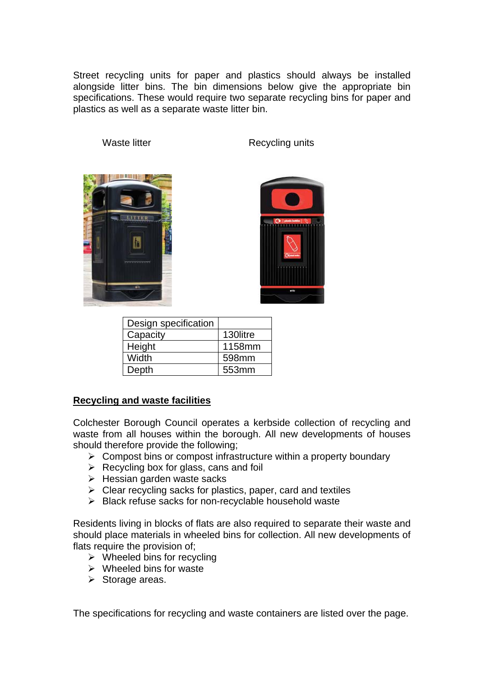Street recycling units for paper and plastics should always be installed alongside litter bins. The bin dimensions below give the appropriate bin specifications. These would require two separate recycling bins for paper and plastics as well as a separate waste litter bin.

Waste litter **Recycling units** 





| Design specification |          |
|----------------------|----------|
| Capacity             | 130litre |
| Height               | 1158mm   |
| Width                | 598mm    |
| Depth                | 553mm    |

# **Recycling and waste facilities**

Colchester Borough Council operates a kerbside collection of recycling and waste from all houses within the borough. All new developments of houses should therefore provide the following;

- $\triangleright$  Compost bins or compost infrastructure within a property boundary
- $\triangleright$  Recycling box for glass, cans and foil
- $\triangleright$  Hessian garden waste sacks
- $\triangleright$  Clear recycling sacks for plastics, paper, card and textiles
- ¾ Black refuse sacks for non-recyclable household waste

Residents living in blocks of flats are also required to separate their waste and should place materials in wheeled bins for collection. All new developments of flats require the provision of;

- $\triangleright$  Wheeled bins for recycling
- $\triangleright$  Wheeled bins for waste
- $\triangleright$  Storage areas.

The specifications for recycling and waste containers are listed over the page.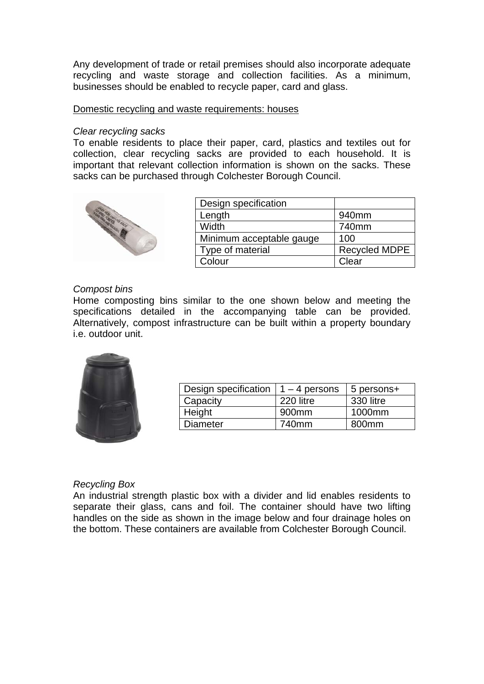Any development of trade or retail premises should also incorporate adequate recycling and waste storage and collection facilities. As a minimum, businesses should be enabled to recycle paper, card and glass.

#### Domestic recycling and waste requirements: houses

#### *Clear recycling sacks*

To enable residents to place their paper, card, plastics and textiles out for collection, clear recycling sacks are provided to each household. It is important that relevant collection information is shown on the sacks. These sacks can be purchased through Colchester Borough Council.



| Design specification     |                      |
|--------------------------|----------------------|
| Length                   | 940mm                |
| Width                    | 740mm                |
| Minimum acceptable gauge | 100                  |
| Type of material         | <b>Recycled MDPE</b> |
| Colour                   | Clear                |

#### *Compost bins*

Home composting bins similar to the one shown below and meeting the specifications detailed in the accompanying table can be provided. Alternatively, compost infrastructure can be built within a property boundary i.e. outdoor unit.



| Design specification | $1 - 4$ persons   | 5 persons+ |
|----------------------|-------------------|------------|
| Capacity             | 220 litre         | 330 litre  |
| Height               | 900 <sub>mm</sub> | 1000mm     |
| <b>Diameter</b>      | 740mm             | 800mm      |

## *Recycling Box*

An industrial strength plastic box with a divider and lid enables residents to separate their glass, cans and foil. The container should have two lifting handles on the side as shown in the image below and four drainage holes on the bottom. These containers are available from Colchester Borough Council.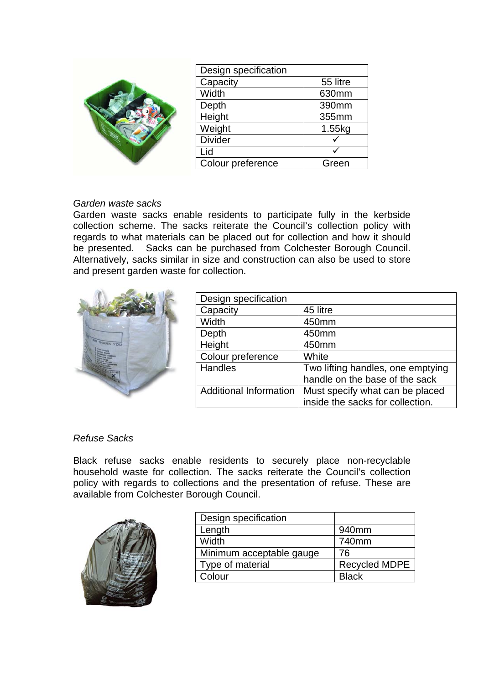| De Ca<br>W<br>De He<br>W<br>Di<br>Lie<br>Co |
|---------------------------------------------|
|                                             |

| Design specification |          |
|----------------------|----------|
| Capacity             | 55 litre |
| Width                | 630mm    |
| Depth                | 390mm    |
| Height               | 355mm    |
| Weight               | 1.55kg   |
| <b>Divider</b>       |          |
| Lid                  |          |
| Colour preference    | Green    |

## *Garden waste sacks*

Garden waste sacks enable residents to participate fully in the kerbside collection scheme. The sacks reiterate the Council's collection policy with regards to what materials can be placed out for collection and how it should be presented. Sacks can be purchased from Colchester Borough Council. Alternatively, sacks similar in size and construction can also be used to store and present garden waste for collection.



| Design specification          |                                   |
|-------------------------------|-----------------------------------|
| Capacity                      | 45 litre                          |
| Width                         | 450mm                             |
| Depth                         | 450mm                             |
| Height                        | 450mm                             |
| Colour preference             | White                             |
| Handles                       | Two lifting handles, one emptying |
|                               | handle on the base of the sack    |
| <b>Additional Information</b> | Must specify what can be placed   |
|                               | inside the sacks for collection.  |

# *Refuse Sacks*

Black refuse sacks enable residents to securely place non-recyclable household waste for collection. The sacks reiterate the Council's collection policy with regards to collections and the presentation of refuse. These are available from Colchester Borough Council.



| Design specification     |                      |
|--------------------------|----------------------|
| Length                   | 940mm                |
| Width                    | 740mm                |
| Minimum acceptable gauge | 76                   |
| Type of material         | <b>Recycled MDPE</b> |
| Colour                   | <b>Black</b>         |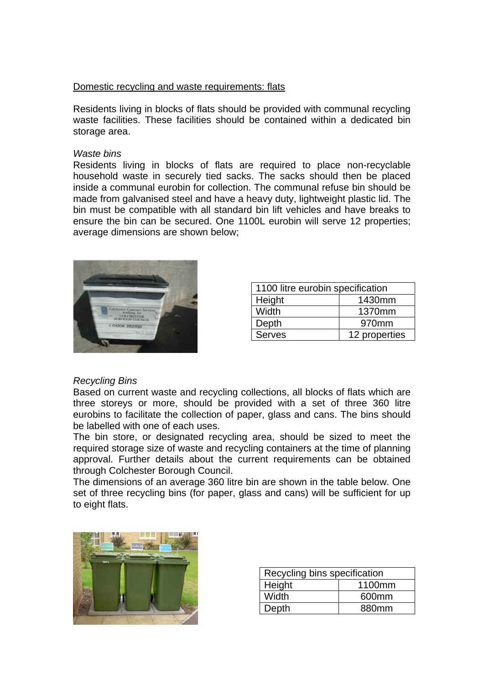### Domestic recycling and waste requirements: flats

Residents living in blocks of flats should be provided with communal recycling waste facilities. These facilities should be contained within a dedicated bin storage area.

#### *Waste bins*

Residents living in blocks of flats are required to place non-recyclable household waste in securely tied sacks. The sacks should then be placed inside a communal eurobin for collection. The communal refuse bin should be made from galvanised steel and have a heavy duty, lightweight plastic lid. The bin must be compatible with all standard bin lift vehicles and have breaks to ensure the bin can be secured. One 1100L eurobin will serve 12 properties; average dimensions are shown below;



| 1100 litre eurobin specification |        |  |  |
|----------------------------------|--------|--|--|
| Height<br>1430mm                 |        |  |  |
| Width                            | 1370mm |  |  |
| Depth                            | 970mm  |  |  |
| 12 properties<br><b>Serves</b>   |        |  |  |

## *Recycling Bins*

Based on current waste and recycling collections, all blocks of flats which are three storeys or more, should be provided with a set of three 360 litre eurobins to facilitate the collection of paper, glass and cans. The bins should be labelled with one of each uses.

The bin store, or designated recycling area, should be sized to meet the required storage size of waste and recycling containers at the time of planning approval. Further details about the current requirements can be obtained through Colchester Borough Council.

The dimensions of an average 360 litre bin are shown in the table below. One set of three recycling bins (for paper, glass and cans) will be sufficient for up to eight flats.



| Recycling bins specification |                   |  |
|------------------------------|-------------------|--|
| Height<br>1100mm             |                   |  |
| Width                        | 600 <sub>mm</sub> |  |
| 880mm<br>Depth               |                   |  |